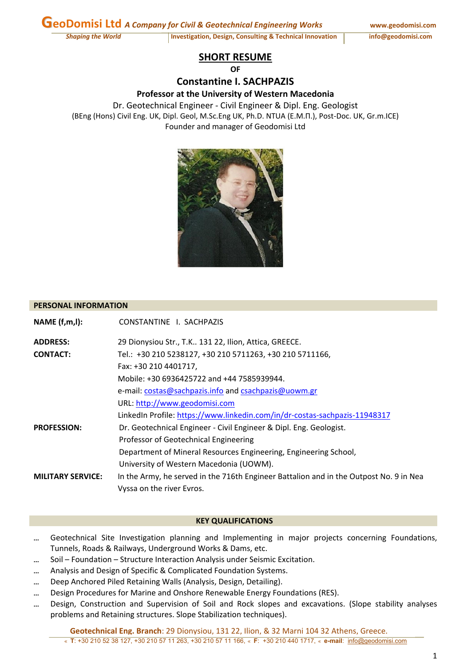Shaping the World Shaping the World Investigation, Design, Consulting & Technical Innovation info@geodomisi.com

# **SHORT RESUME**

 $\Omega$ **F** 

**Constantine I. SACHPAZIS Professor at the University of Western Macedonia**

Dr. Geotechnical Engineer ‐ Civil Engineer & Dipl. Eng. Geologist (BEng (Hons) Civil Eng. UK, Dipl. Geol, M.Sc.Eng UK, Ph.D. NTUA (E.M.Π.), Post‐Doc. UK, Gr.m.ICE) Founder and manager of Geodomisi Ltd



#### **PERSONAL INFORMATION**

| NAME(f,m,l):             | CONSTANTINE I. SACHPAZIS                                                               |
|--------------------------|----------------------------------------------------------------------------------------|
| <b>ADDRESS:</b>          | 29 Dionysiou Str., T.K 131 22, Ilion, Attica, GREECE.                                  |
| <b>CONTACT:</b>          | Tel.: +30 210 5238127, +30 210 5711263, +30 210 5711166,                               |
|                          | Fax: +30 210 4401717,                                                                  |
|                          | Mobile: +30 6936425722 and +44 7585939944.                                             |
|                          | e-mail: costas@sachpazis.info and csachpazis@uowm.gr                                   |
|                          | URL: http://www.geodomisi.com                                                          |
|                          | LinkedIn Profile: https://www.linkedin.com/in/dr-costas-sachpazis-11948317             |
| <b>PROFESSION:</b>       | Dr. Geotechnical Engineer - Civil Engineer & Dipl. Eng. Geologist.                     |
|                          | Professor of Geotechnical Engineering                                                  |
|                          | Department of Mineral Resources Engineering, Engineering School,                       |
|                          | University of Western Macedonia (UOWM).                                                |
| <b>MILITARY SERVICE:</b> | In the Army, he served in the 716th Engineer Battalion and in the Outpost No. 9 in Nea |
|                          | Vyssa on the river Evros.                                                              |

#### **KEY QUALIFICATIONS**

- ... Geotechnical Site Investigation planning and Implementing in major projects concerning Foundations, Tunnels, Roads & Railways, Underground Works & Dams, etc.
- ... Soil Foundation Structure Interaction Analysis under Seismic Excitation.
- ... Analysis and Design of Specific & Complicated Foundation Systems.
- ... Deep Anchored Piled Retaining Walls (Analysis, Design, Detailing).
- ... Design Procedures for Marine and Onshore Renewable Energy Foundations (RES).
- Design, Construction and Supervision of Soil and Rock slopes and excavations. (Slope stability analyses problems and Retaining structures. Slope Stabilization techniques).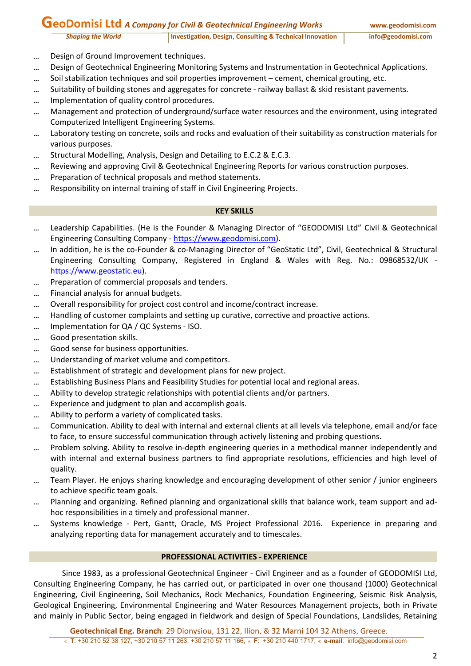# **GeoDomisi Ltd** *<sup>A</sup> Company for Civil & Geotechnical Engineering Works* **www.geodomisi.com**

- ... Design of Ground Improvement techniques.
- ... Design of Geotechnical Engineering Monitoring Systems and Instrumentation in Geotechnical Applications.
- ... Soil stabilization techniques and soil properties improvement cement, chemical grouting, etc.
- Suitability of building stones and aggregates for concrete ‐ railway ballast & skid resistant pavements.
- ... Implementation of quality control procedures.
- ... Management and protection of underground/surface water resources and the environment, using integrated Computerized Intelligent Engineering Systems.
- Laboratory testing on concrete, soils and rocks and evaluation of their suitability as construction materials for various purposes.
- ... Structural Modelling, Analysis, Design and Detailing to E.C.2 & E.C.3.
- Reviewing and approving Civil & Geotechnical Engineering Reports for various construction purposes.
- ... Preparation of technical proposals and method statements.
- ... Responsibility on internal training of staff in Civil Engineering Projects.

### **KEY SKILLS**

- Leadership Capabilities. (He is the Founder & Managing Director of "GEODOMISI Ltd" Civil & Geotechnical Engineering Consulting Company ‐ https://www.geodomisi.com).
- In addition, he is the co‐Founder & co‐Managing Director of "GeoStatic Ltd", Civil, Geotechnical & Structural Engineering Consulting Company, Registered in England & Wales with Reg. No.: 09868532/UK ‐ https://www.geostatic.eu).
- ... Preparation of commercial proposals and tenders.
- ... Financial analysis for annual budgets.
- ... Overall responsibility for project cost control and income/contract increase.
- Handling of customer complaints and setting up curative, corrective and proactive actions.
- ... Implementation for QA / QC Systems ISO.
- ... Good presentation skills.
- ... Good sense for business opportunities.
- ... Understanding of market volume and competitors.
- ... Establishment of strategic and development plans for new project.
- Establishing Business Plans and Feasibility Studies for potential local and regional areas.
- ... Ability to develop strategic relationships with potential clients and/or partners.
- ... Experience and judgment to plan and accomplish goals.
- ... Ability to perform a variety of complicated tasks.
- Communication. Ability to deal with internal and external clients at all levels via telephone, email and/or face to face, to ensure successful communication through actively listening and probing questions.
- Problem solving. Ability to resolve in‐depth engineering queries in a methodical manner independently and with internal and external business partners to find appropriate resolutions, efficiencies and high level of quality.
- Team Player. He enjoys sharing knowledge and encouraging development of other senior / junior engineers to achieve specific team goals.
- Planning and organizing. Refined planning and organizational skills that balance work, team support and ad‐ hoc responsibilities in a timely and professional manner.
- Systems knowledge ‐ Pert, Gantt, Oracle, MS Project Professional 2016. Experience in preparing and analyzing reporting data for management accurately and to timescales.

# **PROFESSIONAL ACTIVITIES ‐ EXPERIENCE**

Since 1983, as a professional Geotechnical Engineer ‐ Civil Engineer and as a founder of GEODOMISI Ltd, Consulting Engineering Company, he has carried out, or participated in over one thousand (1000) Geotechnical Engineering, Civil Engineering, Soil Mechanics, Rock Mechanics, Foundation Engineering, Seismic Risk Analysis, Geological Engineering, Environmental Engineering and Water Resources Management projects, both in Private and mainly in Public Sector, being engaged in fieldwork and design of Special Foundations, Landslides, Retaining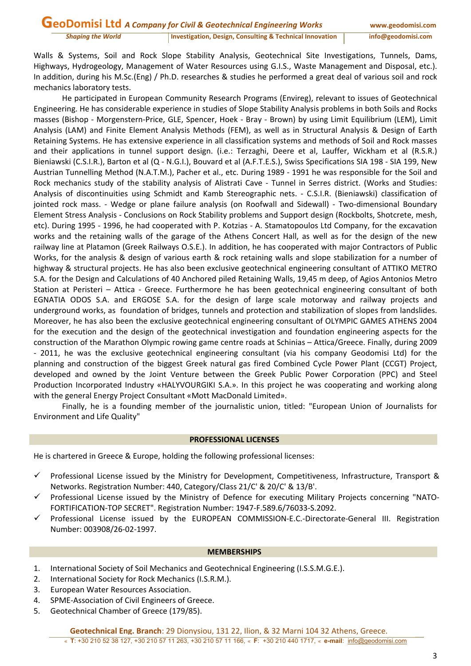Walls & Systems, Soil and Rock Slope Stability Analysis, Geotechnical Site Investigations, Tunnels, Dams, Highways, Hydrogeology, Management of Water Resources using G.I.S., Waste Management and Disposal, etc.). In addition, during his M.Sc.(Eng) / Ph.D. researches & studies he performed a great deal of various soil and rock mechanics laboratory tests.

He participated in European Community Research Programs (Envireg), relevant to issues of Geotechnical Engineering. He has considerable experience in studies of Slope Stability Analysis problems in both Soils and Rocks masses (Bishop ‐ Morgenstern‐Price, GLE, Spencer, Hoek ‐ Bray ‐ Brown) by using Limit Equilibrium (LEM), Limit Analysis (LAM) and Finite Element Analysis Methods (FEM), as well as in Structural Analysis & Design of Earth Retaining Systems. He has extensive experience in all classification systems and methods of Soil and Rock masses and their applications in tunnel support design. (i.e.: Terzaghi, Deere et al, Lauffer, Wickham et al (R.S.R.) Bieniawski (C.S.I.R.), Barton et al (Q - N.G.I.), Bouvard et al (A.F.T.E.S.), Swiss Specifications SIA 198 - SIA 199, New Austrian Tunnelling Method (N.A.T.M.), Pacher et al., etc. During 1989 ‐ 1991 he was responsible for the Soil and Rock mechanics study of the stability analysis of Alistrati Cave - Tunnel in Serres district. (Works and Studies: Analysis of discontinuities using Schmidt and Kamb Stereographic nets. ‐ C.S.I.R. (Bieniawski) classification of jointed rock mass. - Wedge or plane failure analysis (on Roofwall and Sidewall) - Two-dimensional Boundary Element Stress Analysis ‐ Conclusions on Rock Stability problems and Support design (Rockbolts, Shotcrete, mesh, etc). During 1995 ‐ 1996, he had cooperated with P. Kotzias ‐ A. Stamatopoulos Ltd Company, for the excavation works and the retaining walls of the garage of the Athens Concert Hall, as well as for the design of the new railway line at Platamon (Greek Railways O.S.E.). In addition, he has cooperated with major Contractors of Public Works, for the analysis & design of various earth & rock retaining walls and slope stabilization for a number of highway & structural projects. He has also been exclusive geotechnical engineering consultant of ATTIKO METRO S.A. for the Design and Calculations of 40 Anchored piled Retaining Walls, 19,45 m deep, of Agios Antonios Metro Station at Peristeri – Attica - Greece. Furthermore he has been geotechnical engineering consultant of both EGNATIA ODOS S.A. and ERGOSE S.A. for the design of large scale motorway and railway projects and underground works, as foundation of bridges, tunnels and protection and stabilization of slopes from landslides. Moreover, he has also been the exclusive geotechnical engineering consultant of OLYMPIC GAMES ATHENS 2004 for the execution and the design of the geotechnical investigation and foundation engineering aspects for the construction of the Marathon Olympic rowing game centre roads at Schinias – Attica/Greece. Finally, during 2009 ‐ 2011, he was the exclusive geotechnical engineering consultant (via his company Geodomisi Ltd) for the planning and construction of the biggest Greek natural gas fired Combined Cycle Power Plant (CCGT) Project, developed and owned by the Joint Venture between the Greek Public Power Corporation (PPC) and Steel Production Incorporated Industry «HALYVOURGIKI S.A.». In this project he was cooperating and working along with the general Energy Project Consultant «Mott MacDonald Limited».

Finally, he is a founding member of the journalistic union, titled: "European Union of Journalists for Environment and Life Quality"

#### **PROFESSIONAL LICENSES**

He is chartered in Greece & Europe, holding the following professional licenses:

- $\checkmark$  Professional License issued by the Ministry for Development, Competitiveness, Infrastructure, Transport & Networks. Registration Number: 440, Category/Class 21/C' & 20/C' & 13/B'.
- Professional License issued by the Ministry of Defence for executing Military Projects concerning "NATO‐ FORTIFICATION‐TOP SECRET". Registration Number: 1947‐F.589.6/76033‐S.2092.
- Professional License issued by the EUROPEAN COMMISSION‐E.C.‐Directorate‐General III. Registration Number: 003908/26‐02‐1997.

#### **MEMBERSHIPS**

- 1. International Society of Soil Mechanics and Geotechnical Engineering (I.S.S.M.G.E.).
- 2. International Society for Rock Mechanics (I.S.R.M.).
- 3. European Water Resources Association.
- 4. SPME‐Association of Civil Engineers of Greece.
- 5. Geotechnical Chamber of Greece (179/85).

**Geotechnical Eng. Branch**: 29 Dionysiou, 131 22, Ilion, & 32 Marni 104 32 Athens, Greece.

♦ **T**: +30 210 52 38 127, +30 210 57 11 263, +30 210 57 11 166, ♦ **F**: +30 210 440 1717, ♦ **e-mail**: info@geodomisi.com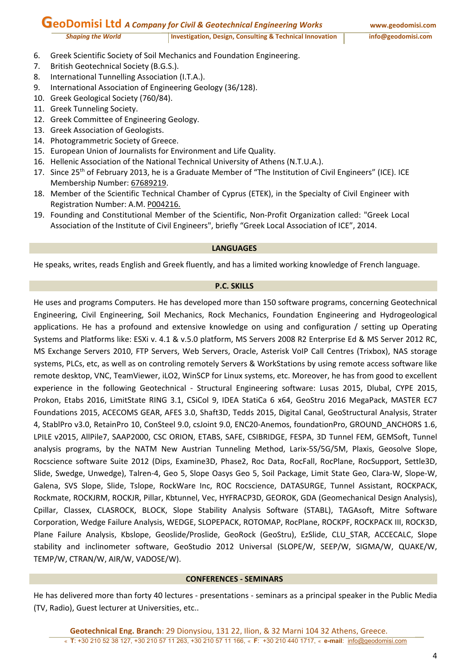# **GeoDomisi Ltd** *<sup>A</sup> Company for Civil & Geotechnical Engineering Works* **www.geodomisi.com**

- 6. Greek Scientific Society of Soil Mechanics and Foundation Engineering.
- 7. British Geotechnical Society (B.G.S.).
- 8. International Tunnelling Association (I.T.A.).
- 9. International Association of Engineering Geology (36/128).
- 10. Greek Geological Society (760/84).
- 11. Greek Tunneling Society.
- 12. Greek Committee of Engineering Geology.
- 13. Greek Association of Geologists.
- 14. Photogrammetric Society of Greece.
- 15. European Union of Journalists for Environment and Life Quality.
- 16. Hellenic Association of the National Technical University of Athens (N.T.U.A.).
- 17. Since 25<sup>th</sup> of February 2013, he is a Graduate Member of "The Institution of Civil Engineers" (ICE). ICE Membership Number: 67689219.
- 18. Member of the Scientific Technical Chamber of Cyprus (ETEK), in the Specialty of Civil Engineer with Registration Number: Α.Μ. P004216.
- 19. Founding and Constitutional Member of the Scientific, Non‐Profit Organization called: "Greek Local Association of the Institute of Civil Engineers", briefly "Greek Local Association of ICE", 2014.

#### **LANGUAGES**

He speaks, writes, reads English and Greek fluently, and has a limited working knowledge of French language.

#### **P.C. SKILLS**

He uses and programs Computers. He has developed more than 150 software programs, concerning Geotechnical Engineering, Civil Engineering, Soil Mechanics, Rock Mechanics, Foundation Engineering and Hydrogeological applications. He has a profound and extensive knowledge on using and configuration / setting up Operating Systems and Platforms like: ESXi v. 4.1 & v.5.0 platform, MS Servers 2008 R2 Enterprise Ed & MS Server 2012 RC, MS Exchange Servers 2010, FTP Servers, Web Servers, Oracle, Asterisk VoIP Call Centres (Trixbox), NAS storage systems, PLCs, etc, as well as on controling remotely Servers & WorkStations by using remote access software like remote desktop, VNC, TeamViewer, iLO2, WinSCP for Linux systems, etc. Moreover, he has from good to excellent experience in the following Geotechnical - Structural Engineering software: Lusas 2015, Dlubal, CYPE 2015, Prokon, Etabs 2016, LimitState RING 3.1, CSiCol 9, IDEA StatiCa 6 x64, GeoStru 2016 MegaPack, MASTER EC7 Foundations 2015, ACECOMS GEAR, AFES 3.0, Shaft3D, Tedds 2015, Digital Canal, GeoStructural Analysis, Strater 4, StablPro v3.0, RetainPro 10, ConSteel 9.0, csJoint 9.0, ENC20-Anemos, foundationPro, GROUND\_ANCHORS 1.6, LPILE v2015, AllPile7, SAAP2000, CSC ORION, ETABS, SAFE, CSIBRIDGE, FESPA, 3D Tunnel FEM, GEMSoft, Tunnel analysis programs, by the NATM New Austrian Tunneling Method, Larix‐5S/5G/5M, Plaxis, Geosolve Slope, Rocscience software Suite 2012 (Dips, Examine3D, Phase2, Roc Data, RocFall, RocPlane, RocSupport, Settle3D, Slide, Swedge, Unwedge), Talren‐4, Geo 5, Slope Oasys Geo 5, Soil Package, Limit State Geo, Clara‐W, Slope‐W, Galena, SVS Slope, Slide, Tslope, RockWare Inc, ROC Rocscience, DATASURGE, Tunnel Assistant, ROCKPACK, Rockmate, ROCKJRM, ROCKJR, Pillar, Kbtunnel, Vec, HYFRACP3D, GEOROK, GDA (Geomechanical Design Analysis), Cpillar, Classex, CLASROCK, BLOCK, Slope Stability Analysis Software (STABL), TAGAsoft, Mitre Software Corporation, Wedge Failure Analysis, WEDGE, SLOPEPACK, ROTOMAP, RocPlane, ROCKPF, ROCKPACK III, ROCK3D, Plane Failure Analysis, Kbslope, Geoslide/Proslide, GeoRock (GeoStru), EzSlide, CLU\_STAR, ACCECALC, Slope stability and inclinometer software, GeoStudio 2012 Universal (SLOPE/W, SEEP/W, SIGMA/W, QUAKE/W, TEMP/W, CTRAN/W, AIR/W, VADOSE/W).

#### **CONFERENCES ‐ SEMINARS**

He has delivered more than forty 40 lectures ‐ presentations ‐ seminars as a principal speaker in the Public Media (TV, Radio), Guest lecturer at Universities, etc..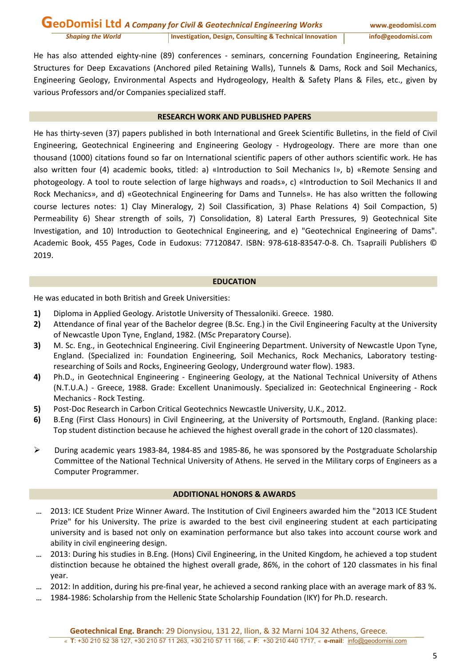He has also attended eighty-nine (89) conferences - seminars, concerning Foundation Engineering, Retaining Structures for Deep Excavations (Anchored piled Retaining Walls), Tunnels & Dams, Rock and Soil Mechanics, Engineering Geology, Environmental Aspects and Hydrogeology, Health & Safety Plans & Files, etc., given by various Professors and/or Companies specialized staff.

# **RESEARCH WORK AND PUBLISHED PAPERS**

He has thirty‐seven (37) papers published in both International and Greek Scientific Bulletins, in the field of Civil Engineering, Geotechnical Engineering and Engineering Geology ‐ Hydrogeology. There are more than one thousand (1000) citations found so far on International scientific papers of other authors scientific work. He has also written four (4) academic books, titled: a) «Introduction to Soil Mechanics I», b) «Remote Sensing and photogeology. A tool to route selection of large highways and roads», c) «Introduction to Soil Mechanics II and Rock Mechanics», and d) «Geotechnical Engineering for Dams and Tunnels». He has also written the following course lectures notes: 1) Clay Mineralogy, 2) Soil Classification, 3) Phase Relations 4) Soil Compaction, 5) Permeability 6) Shear strength of soils, 7) Consolidation, 8) Lateral Earth Pressures, 9) Geotechnical Site Investigation, and 10) Introduction to Geotechnical Engineering, and e) "Geotechnical Engineering of Dams". Academic Book, 455 Pages, Code in Eudoxus: 77120847. ISBN: 978‐618‐83547‐0‐8. Ch. Tsapraili Publishers © 2019.

#### **EDUCATION**

He was educated in both British and Greek Universities:

- **1)** Diploma in Applied Geology. Aristotle University of Thessaloniki. Greece. 1980.
- **2)** Attendance of final year of the Bachelor degree (B.Sc. Eng.) in the Civil Engineering Faculty at the University of Newcastle Upon Tyne, England, 1982. (MSc Preparatory Course).
- **3)** M. Sc. Eng., in Geotechnical Engineering. Civil Engineering Department. University of Newcastle Upon Tyne, England. (Specialized in: Foundation Engineering, Soil Mechanics, Rock Mechanics, Laboratory testing‐ researching of Soils and Rocks, Engineering Geology, Underground water flow). 1983.
- **4)** Ph.D., in Geotechnical Engineering ‐ Engineering Geology, at the National Technical University of Athens (N.T.U.A.) ‐ Greece, 1988. Grade: Excellent Unanimously. Specialized in: Geotechnical Engineering ‐ Rock Mechanics ‐ Rock Testing.
- **5)** Post‐Doc Research in Carbon Critical Geotechnics Newcastle University, U.K., 2012.
- **6)** B.Eng (First Class Honours) in Civil Engineering, at the University of Portsmouth, England. (Ranking place: Top student distinction because he achieved the highest overall grade in the cohort of 120 classmates).
- During academic years 1983‐84, 1984‐85 and 1985‐86, he was sponsored by the Postgraduate Scholarship Committee of the National Technical University of Athens. He served in the Military corps of Engineers as a Computer Programmer.

#### **ADDITIONAL HONORS & AWARDS**

- 2013: ICE Student Prize Winner Award. The Institution of Civil Engineers awarded him the "2013 ICE Student Prize" for his University. The prize is awarded to the best civil engineering student at each participating university and is based not only on examination performance but also takes into account course work and ability in civil engineering design.
- 2013: During his studies in B.Eng. (Hons) Civil Engineering, in the United Kingdom, he achieved a top student distinction because he obtained the highest overall grade, 86%, in the cohort of 120 classmates in his final year.
- 2012: In addition, during his pre‐final year, he achieved a second ranking place with an average mark of 83 %.
- 1984‐1986: Scholarship from the Hellenic State Scholarship Foundation (IKY) for Ph.D. research.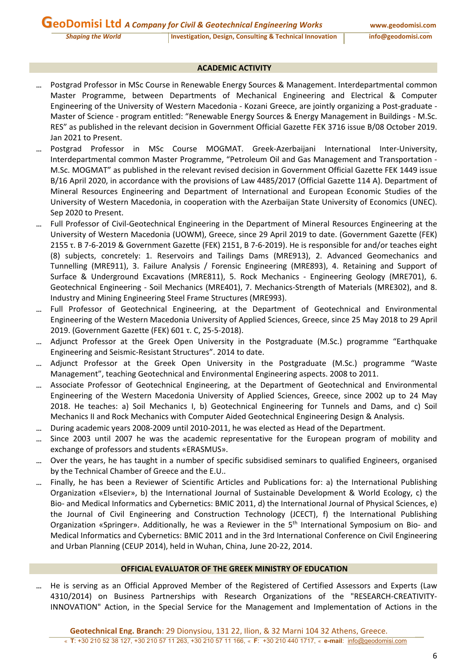### **ACADEMIC ACTIVITY**

- Postgrad Professor in MSc Course in Renewable Energy Sources & Management. Interdepartmental common Master Programme, between Departments of Mechanical Engineering and Electrical & Computer Engineering of the University of Western Macedonia ‐ Kozani Greece, are jointly organizing a Post‐graduate ‐ Master of Science ‐ program entitled: "Renewable Energy Sources & Energy Management in Buildings ‐ M.Sc. RES" as published in the relevant decision in Government Official Gazette FEK 3716 issue B/08 October 2019. Jan 2021 to Present.
- Postgrad Professor in MSc Course MOGMAT. Greek‐Azerbaijani International Inter‐University, Interdepartmental common Master Programme, "Petroleum Oil and Gas Management and Transportation ‐ M.Sc. MOGMAT" as published in the relevant revised decision in Government Official Gazette FEK 1449 issue B/16 April 2020, in accordance with the provisions of Law 4485/2017 (Official Gazette 114 A). Department of Mineral Resources Engineering and Department of International and European Economic Studies of the University of Western Macedonia, in cooperation with the Azerbaijan State University of Economics (UNEC). Sep 2020 to Present.
- Full Professor of Civil‐Geotechnical Engineering in the Department of Mineral Resources Engineering at the University of Western Macedonia (UOWM), Greece, since 29 April 2019 to date. (Government Gazette (FEK) 2155 τ. Β 7‐6‐2019 & Government Gazette (FEK) 2151, B 7‐6‐2019). He is responsible for and/or teaches eight (8) subjects, concretely: 1. Reservoirs and Tailings Dams (MRE913), 2. Advanced Geomechanics and Tunnelling (MRE911), 3. Failure Analysis / Forensic Engineering (MRE893), 4. Retaining and Support of Surface & Underground Excavations (MRE811), 5. Rock Mechanics ‐ Engineering Geology (MRE701), 6. Geotechnical Engineering ‐ Soil Mechanics (MRE401), 7. Mechanics‐Strength of Materials (MRE302), and 8. Industry and Mining Engineering Steel Frame Structures (MRE993).
- Full Professor of Geotechnical Engineering, at the Department of Geotechnical and Environmental Engineering of the Western Macedonia University of Applied Sciences, Greece, since 25 May 2018 to 29 April 2019. (Government Gazette (FEK) 601 τ. C, 25‐5‐2018).
- Adjunct Professor at the Greek Open University in the Postgraduate (M.Sc.) programme "Earthquake Engineering and Seismic‐Resistant Structures". 2014 to date.
- Adjunct Professor at the Greek Open University in the Postgraduate (M.Sc.) programme "Waste Management", teaching Geotechnical and Environmental Engineering aspects. 2008 to 2011.
- ... Associate Professor of Geotechnical Engineering, at the Department of Geotechnical and Environmental Engineering of the Western Macedonia University of Applied Sciences, Greece, since 2002 up to 24 May 2018. He teaches: a) Soil Mechanics I, b) Geotechnical Engineering for Tunnels and Dams, and c) Soil Mechanics II and Rock Mechanics with Computer Aided Geotechnical Engineering Design & Analysis.
- During academic years 2008‐2009 until 2010‐2011, he was elected as Head of the Department.
- Since 2003 until 2007 he was the academic representative for the European program of mobility and exchange of professors and students «ERASMUS».
- Over the years, he has taught in a number of specific subsidised seminars to qualified Engineers, organised by the Technical Chamber of Greece and the E.U..
- Finally, he has been a Reviewer of Scientific Articles and Publications for: a) the International Publishing Organization «Elsevier», b) the International Journal of Sustainable Development & World Ecology, c) the Bio- and Medical Informatics and Cybernetics: BMIC 2011, d) the International Journal of Physical Sciences, e) the Journal of Civil Engineering and Construction Technology (JCECT), f) the International Publishing Organization «Springer». Additionally, he was a Reviewer in the 5<sup>th</sup> International Symposium on Bio- and Medical Informatics and Cybernetics: BMIC 2011 and in the 3rd International Conference on Civil Engineering and Urban Planning (CEUP 2014), held in Wuhan, China, June 20‐22, 2014.

#### **OFFICIAL EVALUATOR OF THE GREEK MINISTRY OF EDUCATION**

• He is serving as an Official Approved Member of the Registered of Certified Assessors and Experts (Law 4310/2014) on Business Partnerships with Research Organizations of the "RESEARCH‐CREATIVITY‐ INNOVATION" Action, in the Special Service for the Management and Implementation of Actions in the